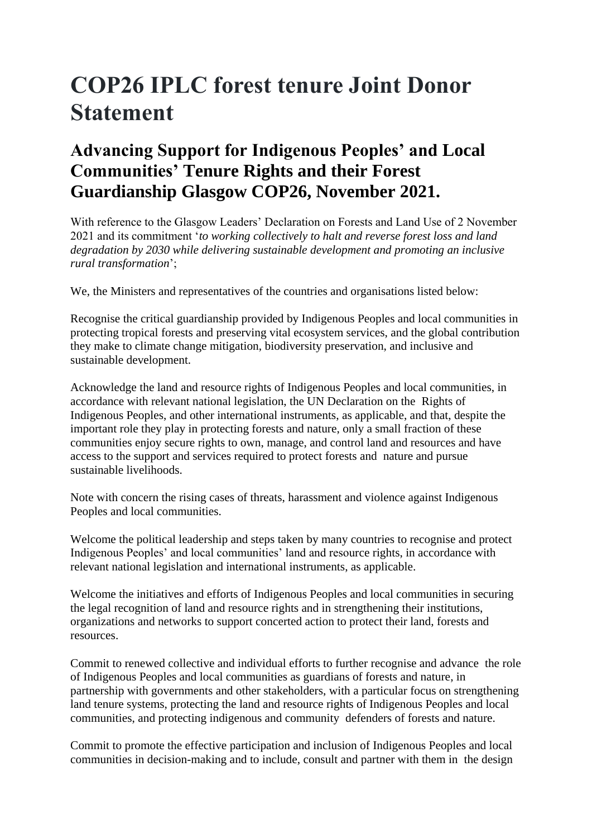## **COP26 IPLC forest tenure Joint Donor Statement**

## **Advancing Support for Indigenous Peoples' and Local Communities' Tenure Rights and their Forest Guardianship Glasgow COP26, November 2021.**

With reference to the Glasgow Leaders' Declaration on Forests and Land Use of 2 November 2021 and its commitment '*to working collectively to halt and reverse forest loss and land degradation by 2030 while delivering sustainable development and promoting an inclusive rural transformation*';

We, the Ministers and representatives of the countries and organisations listed below:

Recognise the critical guardianship provided by Indigenous Peoples and local communities in protecting tropical forests and preserving vital ecosystem services, and the global contribution they make to climate change mitigation, biodiversity preservation, and inclusive and sustainable development.

Acknowledge the land and resource rights of Indigenous Peoples and local communities, in accordance with relevant national legislation, the UN Declaration on the Rights of Indigenous Peoples, and other international instruments, as applicable, and that, despite the important role they play in protecting forests and nature, only a small fraction of these communities enjoy secure rights to own, manage, and control land and resources and have access to the support and services required to protect forests and nature and pursue sustainable livelihoods.

Note with concern the rising cases of threats, harassment and violence against Indigenous Peoples and local communities.

Welcome the political leadership and steps taken by many countries to recognise and protect Indigenous Peoples' and local communities' land and resource rights, in accordance with relevant national legislation and international instruments, as applicable.

Welcome the initiatives and efforts of Indigenous Peoples and local communities in securing the legal recognition of land and resource rights and in strengthening their institutions, organizations and networks to support concerted action to protect their land, forests and resources.

Commit to renewed collective and individual efforts to further recognise and advance the role of Indigenous Peoples and local communities as guardians of forests and nature, in partnership with governments and other stakeholders, with a particular focus on strengthening land tenure systems, protecting the land and resource rights of Indigenous Peoples and local communities, and protecting indigenous and community defenders of forests and nature.

Commit to promote the effective participation and inclusion of Indigenous Peoples and local communities in decision-making and to include, consult and partner with them in the design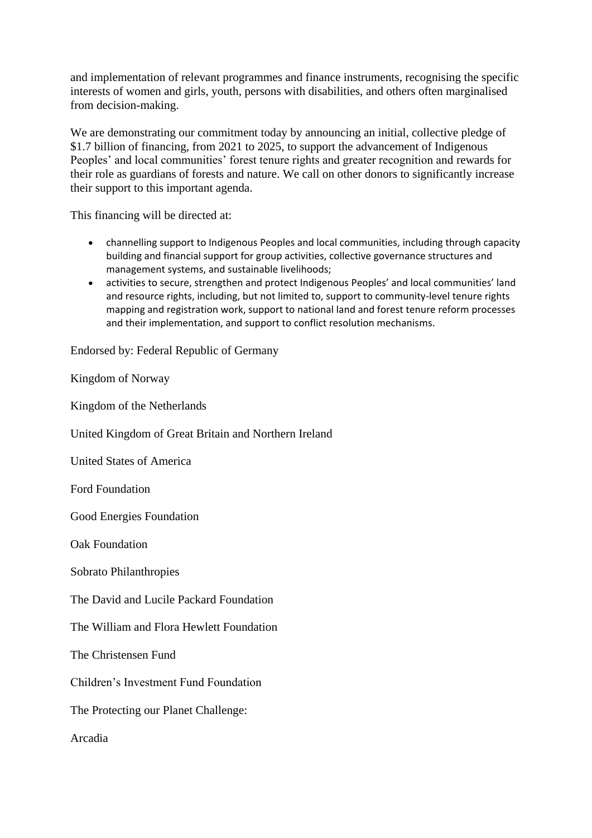and implementation of relevant programmes and finance instruments, recognising the specific interests of women and girls, youth, persons with disabilities, and others often marginalised from decision-making.

We are demonstrating our commitment today by announcing an initial, collective pledge of \$1.7 billion of financing, from 2021 to 2025, to support the advancement of Indigenous Peoples' and local communities' forest tenure rights and greater recognition and rewards for their role as guardians of forests and nature. We call on other donors to significantly increase their support to this important agenda.

This financing will be directed at:

- channelling support to Indigenous Peoples and local communities, including through capacity building and financial support for group activities, collective governance structures and management systems, and sustainable livelihoods;
- activities to secure, strengthen and protect Indigenous Peoples' and local communities' land and resource rights, including, but not limited to, support to community-level tenure rights mapping and registration work, support to national land and forest tenure reform processes and their implementation, and support to conflict resolution mechanisms.

Endorsed by: Federal Republic of Germany

Kingdom of Norway

Kingdom of the Netherlands

United Kingdom of Great Britain and Northern Ireland

United States of America

Ford Foundation

Good Energies Foundation

Oak Foundation

Sobrato Philanthropies

The David and Lucile Packard Foundation

The William and Flora Hewlett Foundation

The Christensen Fund

Children's Investment Fund Foundation

The Protecting our Planet Challenge:

Arcadia